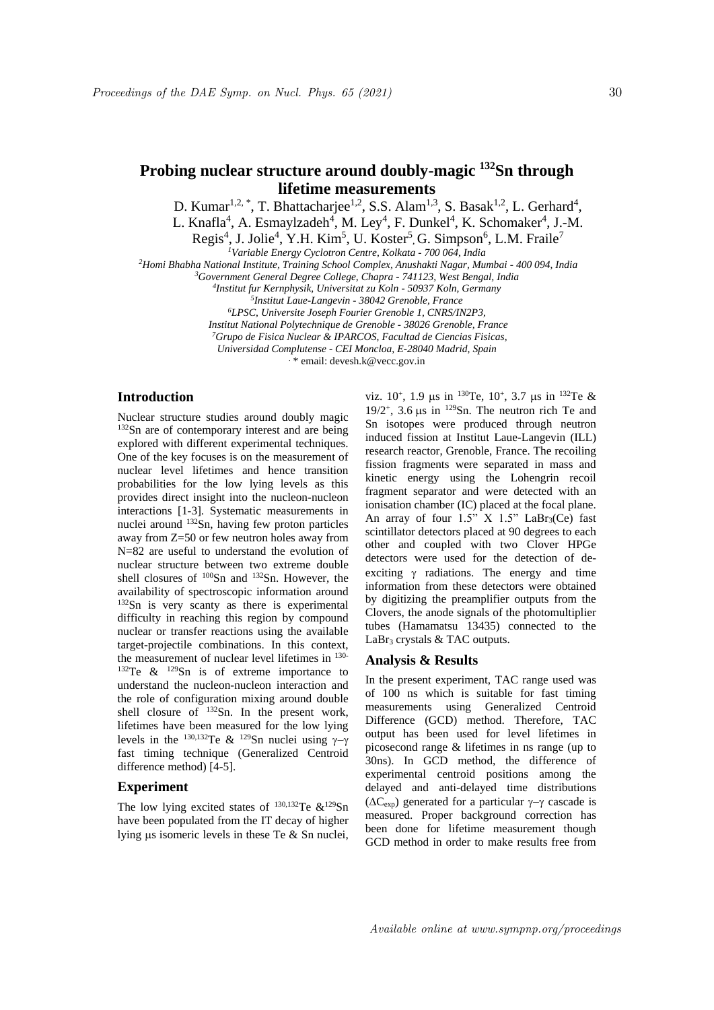# **Probing nuclear structure around doubly-magic <sup>132</sup>Sn through lifetime measurements**

D. Kumar<sup>1,2,\*</sup>, T. Bhattacharjee<sup>1,2</sup>, S.S. Alam<sup>1,3</sup>, S. Basak<sup>1,2</sup>, L. Gerhard<sup>4</sup>,

L. Knafla<sup>4</sup>, A. Esmaylzadeh<sup>4</sup>, M. Ley<sup>4</sup>, F. Dunkel<sup>4</sup>, K. Schomaker<sup>4</sup>, J.-M.

Regis<sup>4</sup>, J. Jolie<sup>4</sup>, Y.H. Kim<sup>5</sup>, U. Koster<sup>5</sup>, G. Simpson<sup>6</sup>, L.M. Fraile<sup>7</sup>

*<sup>1</sup>Variable Energy Cyclotron Centre, Kolkata - 700 064, India*

*<sup>2</sup>Homi Bhabha National Institute, Training School Complex, Anushakti Nagar, Mumbai - 400 094, India*

*<sup>3</sup>Government General Degree College, Chapra - 741123, West Bengal, India*

*4 Institut fur Kernphysik, Universitat zu Koln - 50937 Koln, Germany*

*5 Institut Laue-Langevin - 38042 Grenoble, France*

*<sup>6</sup>LPSC, Universite Joseph Fourier Grenoble 1, CNRS/IN2P3,*

*Institut National Polytechnique de Grenoble - 38026 Grenoble, France*

*<sup>7</sup>Grupo de Fisica Nuclear & IPARCOS, Facultad de Ciencias Fisicas,*

*Universidad Complutense - CEI Moncloa, E-28040 Madrid, Spain*

. \* email: devesh.k@vecc.gov.in

## **Introduction**

Nuclear structure studies around doubly magic <sup>132</sup>Sn are of contemporary interest and are being explored with different experimental techniques. One of the key focuses is on the measurement of nuclear level lifetimes and hence transition probabilities for the low lying levels as this provides direct insight into the nucleon-nucleon interactions [1-3]. Systematic measurements in nuclei around <sup>132</sup>Sn, having few proton particles away from Z=50 or few neutron holes away from N=82 are useful to understand the evolution of nuclear structure between two extreme double shell closures of <sup>100</sup>Sn and <sup>132</sup>Sn. However, the availability of spectroscopic information around <sup>132</sup>Sn is very scanty as there is experimental difficulty in reaching this region by compound nuclear or transfer reactions using the available target-projectile combinations. In this context, the measurement of nuclear level lifetimes in 130- <sup>132</sup>Te  $\&$  <sup>129</sup>Sn is of extreme importance to understand the nucleon-nucleon interaction and the role of configuration mixing around double shell closure of  $^{132}Sn$ . In the present work, lifetimes have been measured for the low lying levels in the <sup>130,132</sup>Te & <sup>129</sup>Sn nuclei using  $\gamma$ - $\gamma$ fast timing technique (Generalized Centroid difference method) [4-5].

## **Experiment**

The low lying excited states of  $^{130,132}$ Te  $\&^{129}$ Sn have been populated from the IT decay of higher lying us isomeric levels in these Te  $&$  Sn nuclei.

viz.  $10^+$ ,  $1.9 \text{ }\mu\text{s}$  in  $^{130}\text{Te}$ ,  $10^+$ ,  $3.7 \text{ }\mu\text{s}$  in  $^{132}\text{Te}$  & 19/2<sup>+</sup>, 3.6  $\mu$ s in <sup>129</sup>Sn. The neutron rich Te and Sn isotopes were produced through neutron induced fission at Institut Laue-Langevin (ILL) research reactor, Grenoble, France. The recoiling fission fragments were separated in mass and kinetic energy using the Lohengrin recoil fragment separator and were detected with an ionisation chamber (IC) placed at the focal plane. An array of four  $1.5$ " X  $1.5$ " LaBr<sub>3</sub>(Ce) fast scintillator detectors placed at 90 degrees to each other and coupled with two Clover HPGe detectors were used for the detection of deexciting  $\gamma$  radiations. The energy and time information from these detectors were obtained by digitizing the preamplifier outputs from the Clovers, the anode signals of the photomultiplier tubes (Hamamatsu 13435) connected to the LaBr<sub>3</sub> crystals  $&TAC$  outputs.

### **Analysis & Results**

In the present experiment, TAC range used was of 100 ns which is suitable for fast timing measurements using Generalized Centroid Difference (GCD) method. Therefore, TAC output has been used for level lifetimes in picosecond range & lifetimes in ns range (up to 30ns). In GCD method, the difference of experimental centroid positions among the delayed and anti-delayed time distributions  $(\Delta C_{\text{exp}})$  generated for a particular  $\gamma-\gamma$  cascade is measured. Proper background correction has been done for lifetime measurement though GCD method in order to make results free from